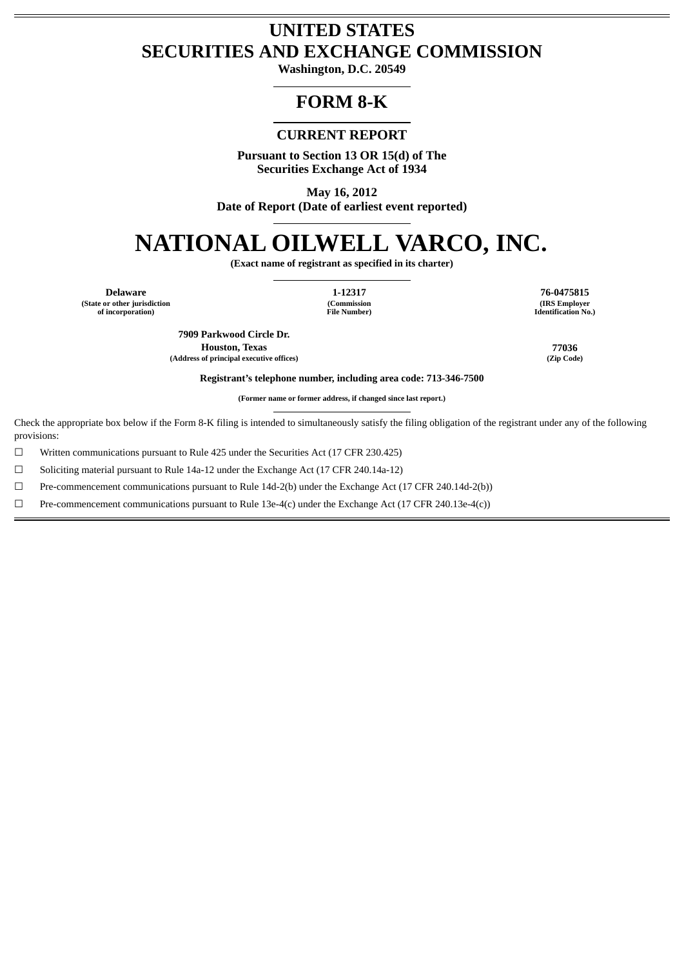## **UNITED STATES SECURITIES AND EXCHANGE COMMISSION**

**Washington, D.C. 20549**

## **FORM 8-K**

### **CURRENT REPORT**

**Pursuant to Section 13 OR 15(d) of The Securities Exchange Act of 1934**

**May 16, 2012**

**Date of Report (Date of earliest event reported)**

# **NATIONAL OILWELL VARCO, INC.**

**(Exact name of registrant as specified in its charter)**

**(State or other jurisdiction (Commission (IRS Employer**  $of$  incorporation)

**Delaware 1-12317 76-0475815**

**7909 Parkwood Circle Dr. Houston, Texas 77036 (Address of principal executive offices) (Zip Code)**

**Registrant's telephone number, including area code: 713-346-7500**

**(Former name or former address, if changed since last report.)**

Check the appropriate box below if the Form 8-K filing is intended to simultaneously satisfy the filing obligation of the registrant under any of the following provisions:

 $\Box$  Written communications pursuant to Rule 425 under the Securities Act (17 CFR 230.425)

☐ Soliciting material pursuant to Rule 14a-12 under the Exchange Act (17 CFR 240.14a-12)

☐ Pre-commencement communications pursuant to Rule 14d-2(b) under the Exchange Act (17 CFR 240.14d-2(b))

 $\Box$  Pre-commencement communications pursuant to Rule 13e-4(c) under the Exchange Act (17 CFR 240.13e-4(c))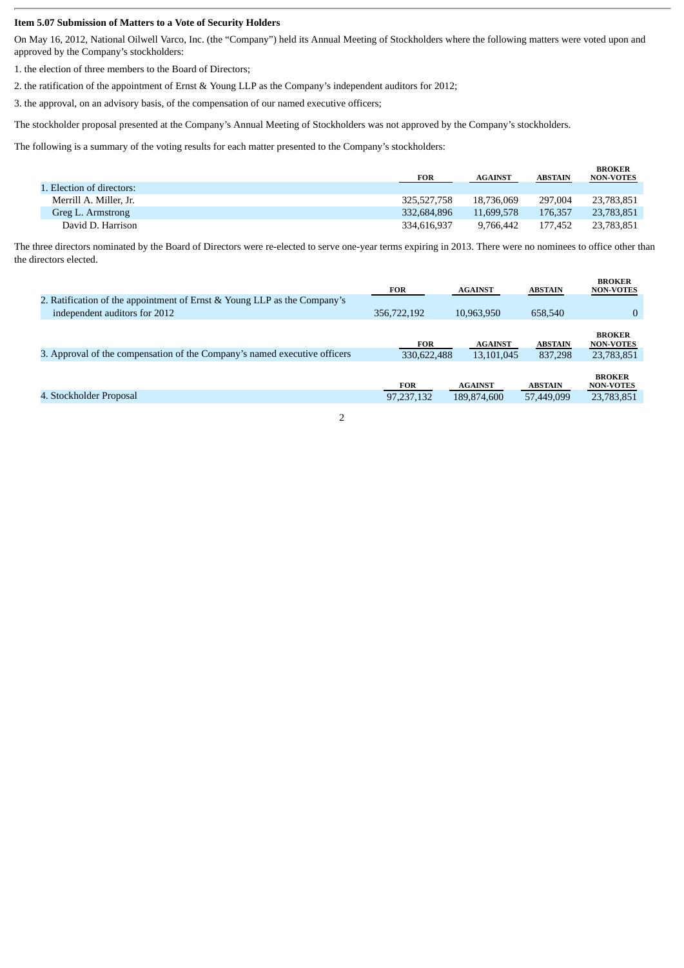#### **Item 5.07 Submission of Matters to a Vote of Security Holders**

On May 16, 2012, National Oilwell Varco, Inc. (the "Company") held its Annual Meeting of Stockholders where the following matters were voted upon and approved by the Company's stockholders:

1. the election of three members to the Board of Directors;

2. the ratification of the appointment of Ernst & Young LLP as the Company's independent auditors for 2012;

3. the approval, on an advisory basis, of the compensation of our named executive officers;

The stockholder proposal presented at the Company's Annual Meeting of Stockholders was not approved by the Company's stockholders.

The following is a summary of the voting results for each matter presented to the Company's stockholders:

|                           | <b>FOR</b>  | <b>AGAINST</b> | <b>ABSTAIN</b> | BROKER<br><b>NON-VOTES</b> |
|---------------------------|-------------|----------------|----------------|----------------------------|
| 1. Election of directors: |             |                |                |                            |
| Merrill A. Miller, Jr.    | 325.527.758 | 18,736,069     | 297,004        | 23,783,851                 |
| Greg L. Armstrong         | 332.684.896 | 11.699.578     | 176.357        | 23,783,851                 |
| David D. Harrison         | 334.616.937 | 9.766.442      | 177.452        | 23,783,851                 |

**BROKER**

The three directors nominated by the Board of Directors were re-elected to serve one-year terms expiring in 2013. There were no nominees to office other than the directors elected.

|                                                                                                           | <b>FOR</b>                | <b>AGAINST</b>                | <b>ABSTAIN</b>               | <b>BROKER</b><br><b>NON-VOTES</b>               |
|-----------------------------------------------------------------------------------------------------------|---------------------------|-------------------------------|------------------------------|-------------------------------------------------|
| 2. Ratification of the appointment of Ernst & Young LLP as the Company's<br>independent auditors for 2012 | 356,722,192               | 10,963,950                    | 658,540                      | $\overline{0}$                                  |
|                                                                                                           |                           |                               |                              |                                                 |
| 3. Approval of the compensation of the Company's named executive officers                                 | <b>FOR</b><br>330,622,488 | <b>AGAINST</b><br>13,101,045  | <b>ABSTAIN</b><br>837,298    | <b>BROKER</b><br><b>NON-VOTES</b><br>23,783,851 |
| 4. Stockholder Proposal                                                                                   | <b>FOR</b><br>97,237,132  | <b>AGAINST</b><br>189,874,600 | <b>ABSTAIN</b><br>57,449,099 | <b>BROKER</b><br><b>NON-VOTES</b><br>23,783,851 |
|                                                                                                           |                           |                               |                              |                                                 |

2